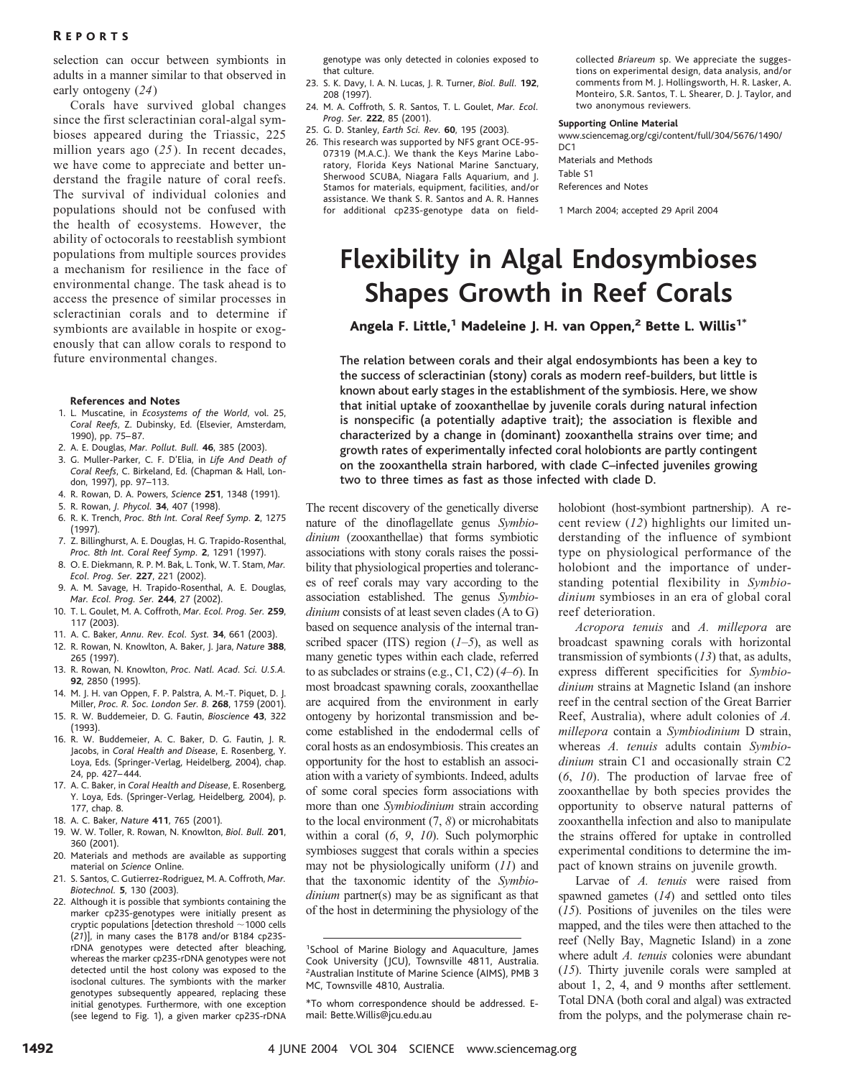selection can occur between symbionts in adults in a manner similar to that observed in early ontogeny (*24*)

Corals have survived global changes since the first scleractinian coral-algal symbioses appeared during the Triassic, 225 million years ago (*25*). In recent decades, we have come to appreciate and better understand the fragile nature of coral reefs. The survival of individual colonies and populations should not be confused with the health of ecosystems. However, the ability of octocorals to reestablish symbiont populations from multiple sources provides a mechanism for resilience in the face of environmental change. The task ahead is to access the presence of similar processes in scleractinian corals and to determine if symbionts are available in hospite or exogenously that can allow corals to respond to future environmental changes.

#### **References and Notes**

- 1. L. Muscatine, in *Ecosystems of the World*, vol. 25, *Coral Reefs*, Z. Dubinsky, Ed. (Elsevier, Amsterdam, 1990), pp. 75– 87.
- 2. A. E. Douglas, *Mar. Pollut. Bull.* **46**, 385 (2003).
- 3. G. Muller-Parker, C. F. D'Elia, in *Life And Death of Coral Reefs*, C. Birkeland, Ed. (Chapman & Hall, London, 1997), pp. 97–113.
- 4. R. Rowan, D. A. Powers, *Science* **251**, 1348 (1991).
- 5. R. Rowan, *J. Phycol.* **34**, 407 (1998).
- 6. R. K. Trench, *Proc. 8th Int. Coral Reef Symp.* **2**, 1275 (1997).
- 7. Z. Billinghurst, A. E. Douglas, H. G. Trapido-Rosenthal, *Proc. 8th Int. Coral Reef Symp.* **2**, 1291 (1997).
- 8. O. E. Diekmann, R. P. M. Bak, L. Tonk, W. T. Stam, *Mar. Ecol. Prog. Ser.* **227**, 221 (2002).
- 9. A. M. Savage, H. Trapido-Rosenthal, A. E. Douglas, *Mar. Ecol. Prog. Ser.* **244**, 27 (2002).
- 10. T. L. Goulet, M. A. Coffroth, *Mar. Ecol. Prog. Ser.* **259**, 117 (2003).
- 11. A. C. Baker, *Annu. Rev. Ecol. Syst.* **34**, 661 (2003).
- 12. R. Rowan, N. Knowlton, A. Baker, J. Jara, *Nature* **388**, 265 (1997).
- 13. R. Rowan, N. Knowlton, *Proc. Natl. Acad. Sci. U.S.A.* **92**, 2850 (1995).
- 14. M. J. H. van Oppen, F. P. Palstra, A. M.-T. Piquet, D. J. Miller, *Proc. R. Soc. London Ser. B.* **268**, 1759 (2001). 15. R. W. Buddemeier, D. G. Fautin, *Bioscience* **43**, 322
- (1993).
- 16. R. W. Buddemeier, A. C. Baker, D. G. Fautin, J. R. Jacobs, in *Coral Health and Disease*, E. Rosenberg, Y. Loya, Eds. (Springer-Verlag, Heidelberg, 2004), chap. 24, pp. 427– 444.
- 17. A. C. Baker, in *Coral Health and Disease*, E. Rosenberg, Y. Loya, Eds. (Springer-Verlag, Heidelberg, 2004), p. 177, chap. 8.
- 18. A. C. Baker, *Nature* **411**, 765 (2001).
- 19. W. W. Toller, R. Rowan, N. Knowlton, *Biol. Bull.* **201**, 360 (2001).
- 20. Materials and methods are available as supporting material on *Science* Online.
- 21. S. Santos, C. Gutierrez-Rodriguez, M. A. Coffroth, *Mar. Biotechnol.* **5**, 130 (2003).
- 22. Although it is possible that symbionts containing the marker cp23S-genotypes were initially present as cryptic populations [detection threshold 1000 cells (*21*)], in many cases the B178 and/or B184 cp23SrDNA genotypes were detected after bleaching, whereas the marker cp23S-rDNA genotypes were not detected until the host colony was exposed to the isoclonal cultures. The symbionts with the marker genotypes subsequently appeared, replacing these initial genotypes. Furthermore, with one exception (see legend to Fig. 1), a given marker cp23S-rDNA

genotype was only detected in colonies exposed to that culture.

- 23. S. K. Davy, I. A. N. Lucas, J. R. Turner, *Biol. Bull.* **192**, 208 (1997).
- 24. M. A. Coffroth, S. R. Santos, T. L. Goulet, *Mar. Ecol. Prog. Ser.* **222**, 85 (2001).
- 25. G. D. Stanley, *Earth Sci. Rev.* **60**, 195 (2003).
- 26. This research was supported by NFS grant OCE-95- 07319 (M.A.C.). We thank the Keys Marine Laboratory, Florida Keys National Marine Sanctuary, Sherwood SCUBA, Niagara Falls Aquarium, and J. Stamos for materials, equipment, facilities, and/or assistance. We thank S. R. Santos and A. R. Hannes for additional cp23S-genotype data on field-

collected *Briareum* sp. We appreciate the suggestions on experimental design, data analysis, and/or comments from M. J. Hollingsworth, H. R. Lasker, A. Monteiro, S.R. Santos, T. L. Shearer, D. J. Taylor, and two anonymous reviewers.

#### **Supporting Online Material**

www.sciencemag.org/cgi/content/full/304/5676/1490/  $DC1$ 

Materials and Methods Table S1 References and Notes

1 March 2004; accepted 29 April 2004

## **Flexibility in Algal Endosymbioses Shapes Growth in Reef Corals**

Angela F. Little,<sup>1</sup> Madeleine J. H. van Oppen,<sup>2</sup> Bette L. Willis<sup>1\*</sup>

The relation between corals and their algal endosymbionts has been a key to the success of scleractinian (stony) corals as modern reef-builders, but little is known about early stages in the establishment of the symbiosis. Here, we show that initial uptake of zooxanthellae by juvenile corals during natural infection is nonspecific (a potentially adaptive trait); the association is flexible and characterized by a change in (dominant) zooxanthella strains over time; and growth rates of experimentally infected coral holobionts are partly contingent on the zooxanthella strain harbored, with clade C–infected juveniles growing two to three times as fast as those infected with clade D.

The recent discovery of the genetically diverse nature of the dinoflagellate genus *Symbiodinium* (zooxanthellae) that forms symbiotic associations with stony corals raises the possibility that physiological properties and tolerances of reef corals may vary according to the association established. The genus *Symbiodinium* consists of at least seven clades (A to G) based on sequence analysis of the internal transcribed spacer (ITS) region (*1*–*5*), as well as many genetic types within each clade, referred to as subclades or strains (e.g., C1, C2) (*4*–*6*). In most broadcast spawning corals, zooxanthellae are acquired from the environment in early ontogeny by horizontal transmission and become established in the endodermal cells of coral hosts as an endosymbiosis. This creates an opportunity for the host to establish an association with a variety of symbionts. Indeed, adults of some coral species form associations with more than one *Symbiodinium* strain according to the local environment (7, *8*) or microhabitats within a coral (*6*, *9*, *10*). Such polymorphic symbioses suggest that corals within a species may not be physiologically uniform (*11*) and that the taxonomic identity of the *Symbiodinium* partner(s) may be as significant as that of the host in determining the physiology of the holobiont (host-symbiont partnership). A recent review (*12*) highlights our limited understanding of the influence of symbiont type on physiological performance of the holobiont and the importance of understanding potential flexibility in *Symbiodinium* symbioses in an era of global coral reef deterioration.

*Acropora tenuis* and *A. millepora* are broadcast spawning corals with horizontal transmission of symbionts (*13*) that, as adults, express different specificities for *Symbiodinium* strains at Magnetic Island (an inshore reef in the central section of the Great Barrier Reef, Australia), where adult colonies of *A. millepora* contain a *Symbiodinium* D strain, whereas *A. tenuis* adults contain *Symbiodinium* strain C1 and occasionally strain C2 (*6*, *10*). The production of larvae free of zooxanthellae by both species provides the opportunity to observe natural patterns of zooxanthella infection and also to manipulate the strains offered for uptake in controlled experimental conditions to determine the impact of known strains on juvenile growth.

Larvae of *A. tenuis* were raised from spawned gametes (*14*) and settled onto tiles (*15*). Positions of juveniles on the tiles were mapped, and the tiles were then attached to the reef (Nelly Bay, Magnetic Island) in a zone where adult *A. tenuis* colonies were abundant (*15*). Thirty juvenile corals were sampled at about 1, 2, 4, and 9 months after settlement. Total DNA (both coral and algal) was extracted from the polyps, and the polymerase chain re-

<sup>1</sup> School of Marine Biology and Aquaculture, James Cook University ( JCU), Townsville 4811, Australia. <sup>2</sup> Australian Institute of Marine Science (AIMS), PMB 3 MC, Townsville 4810, Australia.

<sup>\*</sup>To whom correspondence should be addressed. Email: Bette.Willis@jcu.edu.au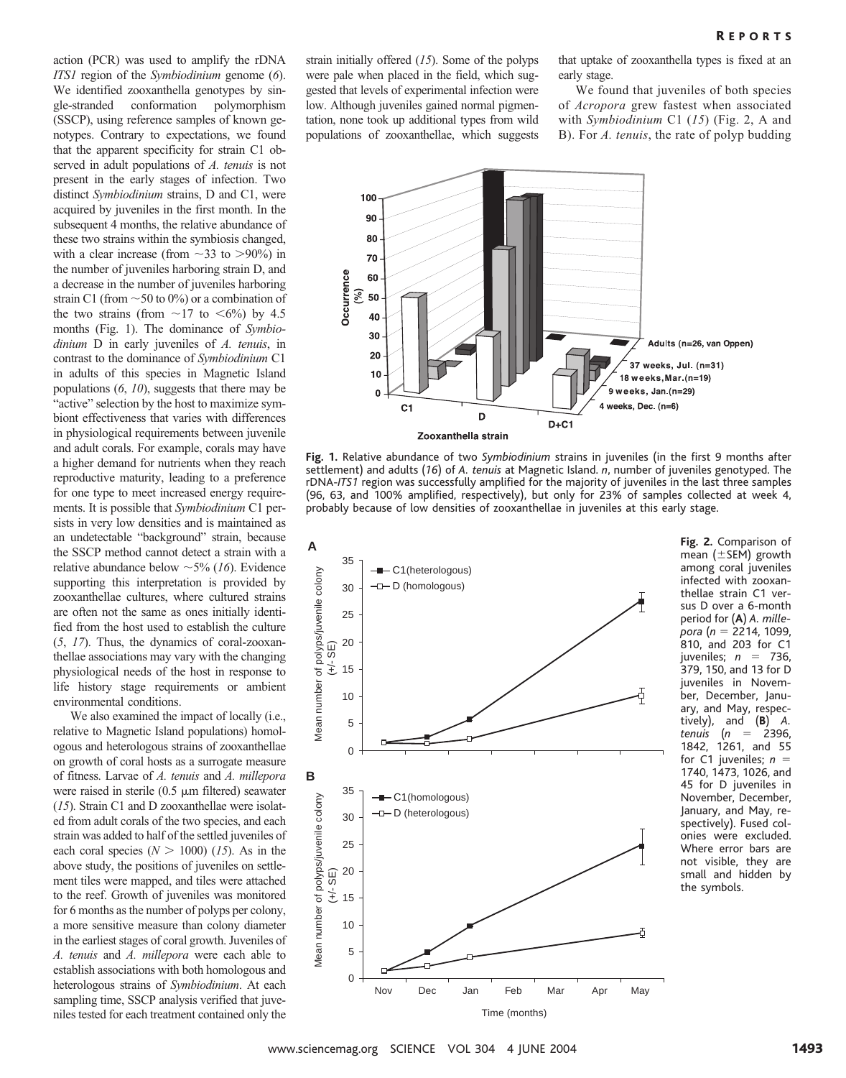action (PCR) was used to amplify the rDNA *ITS1* region of the *Symbiodinium* genome (*6*). We identified zooxanthella genotypes by single-stranded conformation polymorphism (SSCP), using reference samples of known genotypes. Contrary to expectations, we found that the apparent specificity for strain C1 observed in adult populations of *A. tenuis* is not present in the early stages of infection. Two distinct *Symbiodinium* strains, D and C1, were acquired by juveniles in the first month. In the subsequent 4 months, the relative abundance of these two strains within the symbiosis changed, with a clear increase (from  $\sim$ 33 to  $>$ 90%) in the number of juveniles harboring strain D, and a decrease in the number of juveniles harboring strain C1 (from  $\sim$  50 to 0%) or a combination of the two strains (from  $\sim$ 17 to  $\lt$ 6%) by 4.5 months (Fig. 1). The dominance of *Symbiodinium* D in early juveniles of *A. tenuis*, in contrast to the dominance of *Symbiodinium* C1 in adults of this species in Magnetic Island populations (*6*, *10*), suggests that there may be "active" selection by the host to maximize symbiont effectiveness that varies with differences in physiological requirements between juvenile and adult corals. For example, corals may have a higher demand for nutrients when they reach reproductive maturity, leading to a preference for one type to meet increased energy requirements. It is possible that *Symbiodinium* C1 persists in very low densities and is maintained as an undetectable "background" strain, because the SSCP method cannot detect a strain with a relative abundance below  $\sim$  5% (*16*). Evidence supporting this interpretation is provided by zooxanthellae cultures, where cultured strains are often not the same as ones initially identified from the host used to establish the culture (*5*, *17*). Thus, the dynamics of coral-zooxanthellae associations may vary with the changing physiological needs of the host in response to life history stage requirements or ambient environmental conditions.

We also examined the impact of locally (i.e., relative to Magnetic Island populations) homologous and heterologous strains of zooxanthellae on growth of coral hosts as a surrogate measure of fitness. Larvae of *A. tenuis* and *A. millepora* were raised in sterile  $(0.5 \mu m)$  filtered) seawater (*15*). Strain C1 and D zooxanthellae were isolated from adult corals of the two species, and each strain was added to half of the settled juveniles of each coral species  $(N > 1000)$  (15). As in the above study, the positions of juveniles on settlement tiles were mapped, and tiles were attached to the reef. Growth of juveniles was monitored for 6 months as the number of polyps per colony, a more sensitive measure than colony diameter in the earliest stages of coral growth. Juveniles of *A. tenuis* and *A. millepora* were each able to establish associations with both homologous and heterologous strains of *Symbiodinium*. At each sampling time, SSCP analysis verified that juveniles tested for each treatment contained only the

strain initially offered (*15*). Some of the polyps were pale when placed in the field, which suggested that levels of experimental infection were low. Although juveniles gained normal pigmentation, none took up additional types from wild populations of zooxanthellae, which suggests

that uptake of zooxanthella types is fixed at an early stage.

We found that juveniles of both species of *Acropora* grew fastest when associated with *Symbiodinium* C1 (*15*) (Fig. 2, A and B). For *A. tenuis*, the rate of polyp budding



**Fig.1.** Relative abundance of two *Symbiodinium* strains in juveniles (in the first 9 months after settlement) and adults (16) of *A. tenuis* at Magnetic Island. *n*, number of juveniles genotyped. The rDNA-*ITS1* region was successfully amplified for the majority of juveniles in the last three samples (96, 63, and 100% amplified, respectively), but only for 23% of samples collected at week 4, probably because of low densities of zooxanthellae in juveniles at this early stage.



**Fig.2.** Comparison of mean  $(\pm$ SEM) growth among coral juveniles infected with zooxanthellae strain C1 versus D over a 6-month period for (**A**) *A. millepora* (*n* 2214, 1099, 810, and 203 for C1 juveniles; *n* = 736, 379, 150, and 13 for D juveniles in November, December, January, and May, respectively), and  $(B)$  A. and **(B)** *A. tenuis* (*n* 2396, 1842, 1261, and 55 for C1 juveniles; *n* 1740, 1473, 1026, and 45 for D juveniles in November, December, January, and May, respectively). Fused colonies were excluded. Where error bars are not visible, they are small and hidden by the symbols.